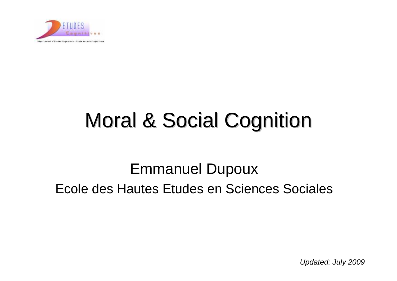

## Moral & Social Cognition

## Emmanuel DupouxEcole des Hautes Etudes en Sciences Sociales

Updated: July 2009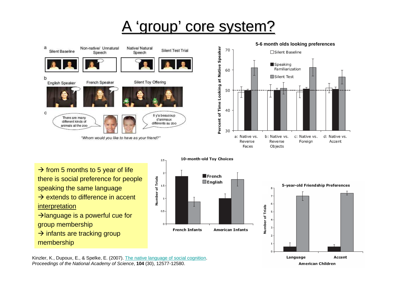## <u>A 'group' core system?</u>



Familiarization

d: Native vs. c: Native vs. Accent Foreign



Kinzler, K., Dupoux, E., & Spelke, E. (2007). The native language of social cognition. Proceedings of the National Academy of Science, **104** (30), 12577-12580.

American Children